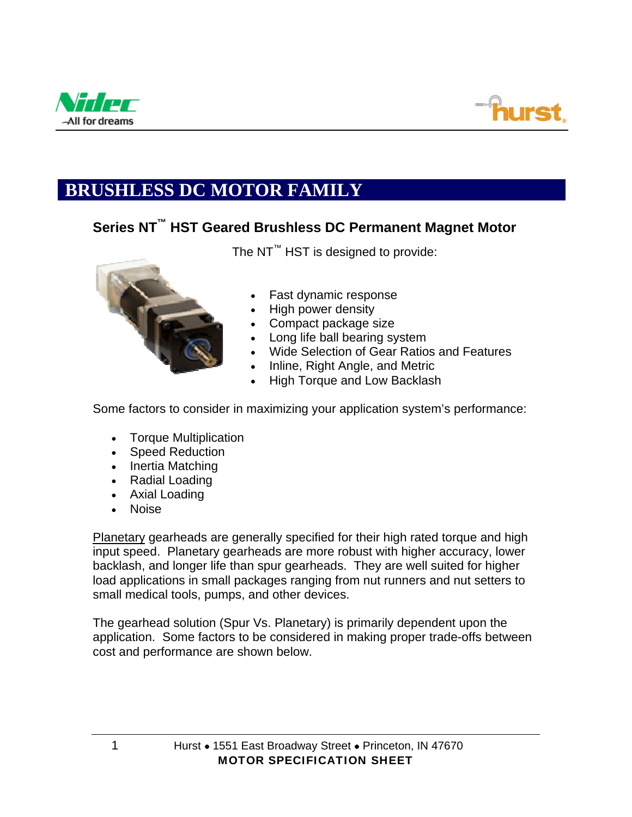



# **BRUSHLESS DC MOTOR FAMILY**

### **Series NT™ HST Geared Brushless DC Permanent Magnet Motor**



The NT<sup>™</sup> HST is designed to provide:

- Fast dynamic response
- High power density
- Compact package size
- Long life ball bearing system
- Wide Selection of Gear Ratios and Features
- Inline, Right Angle, and Metric
- High Torque and Low Backlash

Some factors to consider in maximizing your application system's performance:

- Torque Multiplication
- Speed Reduction
- Inertia Matching
- Radial Loading
- Axial Loading
- Noise

Planetary gearheads are generally specified for their high rated torque and high input speed. Planetary gearheads are more robust with higher accuracy, lower backlash, and longer life than spur gearheads. They are well suited for higher load applications in small packages ranging from nut runners and nut setters to small medical tools, pumps, and other devices.

The gearhead solution (Spur Vs. Planetary) is primarily dependent upon the application. Some factors to be considered in making proper trade-offs between cost and performance are shown below.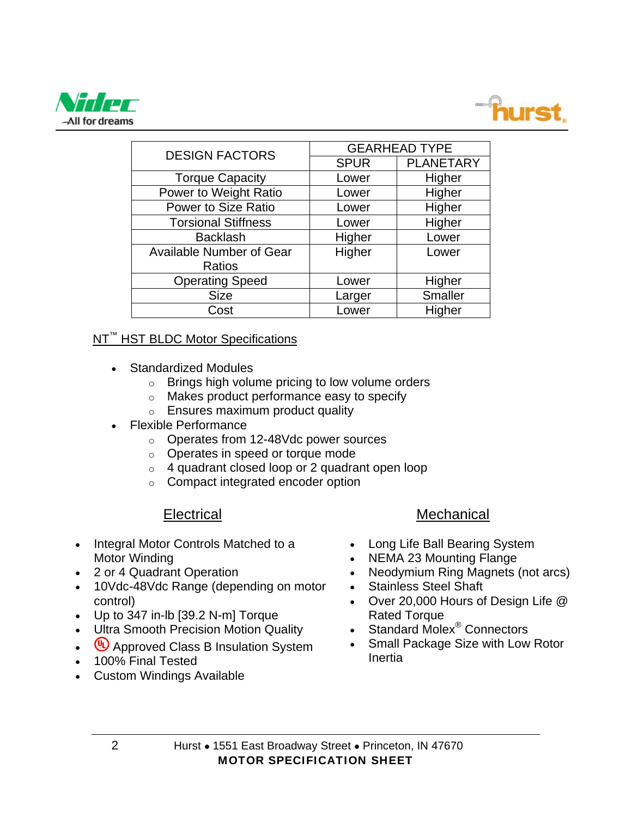



| <b>DESIGN FACTORS</b>           | <b>GEARHEAD TYPE</b> |                  |  |
|---------------------------------|----------------------|------------------|--|
|                                 | <b>SPUR</b>          | <b>PLANETARY</b> |  |
| <b>Torque Capacity</b>          | Lower                | Higher           |  |
| Power to Weight Ratio           | Lower                | Higher           |  |
| <b>Power to Size Ratio</b>      | Lower                | Higher           |  |
| <b>Torsional Stiffness</b>      | Lower                | Higher           |  |
| <b>Backlash</b>                 | Higher               | Lower            |  |
| <b>Available Number of Gear</b> | Higher               | Lower            |  |
| Ratios                          |                      |                  |  |
| <b>Operating Speed</b>          | Lower                | Higher           |  |
| <b>Size</b>                     | Larger               | <b>Smaller</b>   |  |
| Cost                            | Lower                | Higher           |  |

#### NT<sup>™</sup> HST BLDC Motor Specifications

- Standardized Modules
	- $\circ$  Brings high volume pricing to low volume orders
	- o Makes product performance easy to specify
	- o Ensures maximum product quality
- Flexible Performance
	- o Operates from 12-48Vdc power sources
	- o Operates in speed or torque mode
	- $\circ$  4 quadrant closed loop or 2 quadrant open loop
	- o Compact integrated encoder option

#### **Electrical**

- Integral Motor Controls Matched to a Motor Winding
- 2 or 4 Quadrant Operation
- 10Vdc-48Vdc Range (depending on motor control)
- Up to 347 in-lb [39.2 N-m] Torque
- Ultra Smooth Precision Motion Quality
- $\left(\bigcup_{n=1}^{\infty} A$ pproved Class B Insulation System
- 100% Final Tested
- Custom Windings Available

#### **Mechanical**

- Long Life Ball Bearing System
- NEMA 23 Mounting Flange
- Neodymium Ring Magnets (not arcs)
- Stainless Steel Shaft
- Over 20,000 Hours of Design Life @ Rated Torque
- Standard Molex<sup>®</sup> Connectors
- Small Package Size with Low Rotor Inertia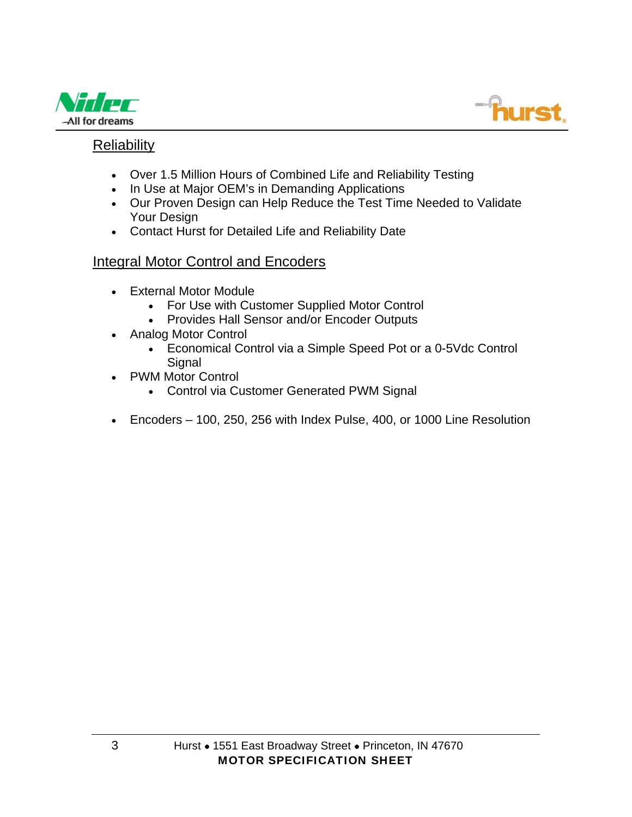



#### Reliability

- Over 1.5 Million Hours of Combined Life and Reliability Testing
- In Use at Major OEM's in Demanding Applications
- Our Proven Design can Help Reduce the Test Time Needed to Validate Your Design
- Contact Hurst for Detailed Life and Reliability Date

#### Integral Motor Control and Encoders

- External Motor Module
	- For Use with Customer Supplied Motor Control
	- Provides Hall Sensor and/or Encoder Outputs
- Analog Motor Control
	- Economical Control via a Simple Speed Pot or a 0-5Vdc Control **Signal**
- PWM Motor Control
	- Control via Customer Generated PWM Signal
- Encoders 100, 250, 256 with Index Pulse, 400, or 1000 Line Resolution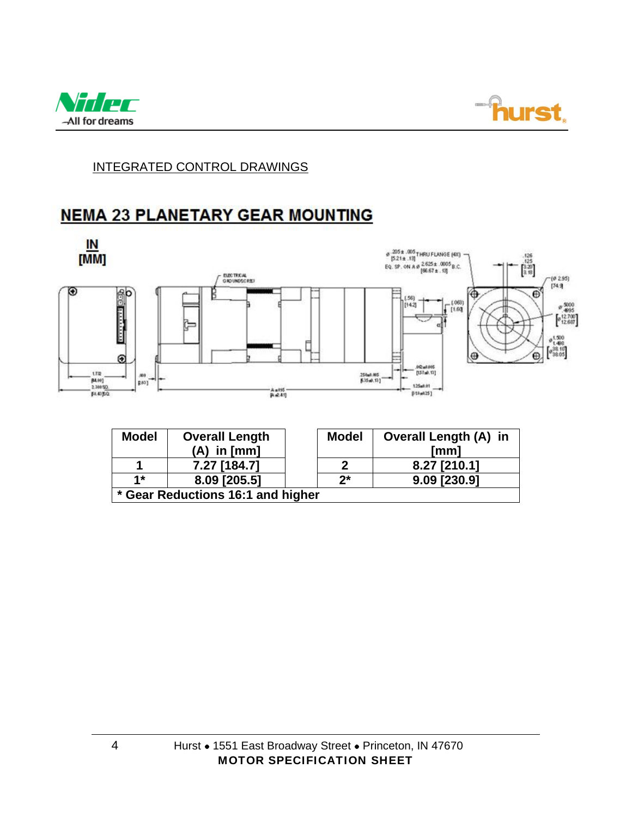



#### INTEGRATED CONTROL DRAWINGS

## **NEMA 23 PLANETARY GEAR MOUNTING**



| <b>Model</b>                      | <b>Overall Length</b> |  | <b>Model</b> | <b>Overall Length (A) in</b> |  |
|-----------------------------------|-----------------------|--|--------------|------------------------------|--|
|                                   | $(A)$ in $[mm]$       |  |              | [mm]                         |  |
|                                   | 7.27 [184.7]          |  | າ            | 8.27 [210.1]                 |  |
| $1*$                              | 8.09 [205.5]          |  | $2^{\star}$  | 9.09 [230.9]                 |  |
| * Gear Reductions 16:1 and higher |                       |  |              |                              |  |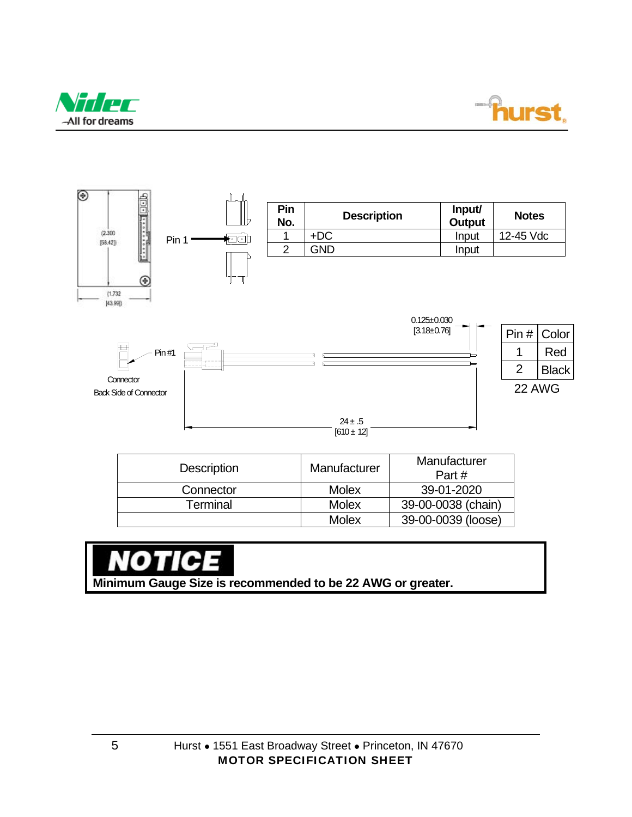





| <b>DESCRIPTION</b> | <u>IVIAHUIAUULEI</u> | Part#              |
|--------------------|----------------------|--------------------|
| Connector          | <b>Molex</b>         | 39-01-2020         |
| Terminal           | <b>Molex</b>         | 39-00-0038 (chain) |
|                    | Molex                | 39-00-0039 (loose) |

⊶ **Minimum Gauge Size is recommended to be 22 AWG or greater.**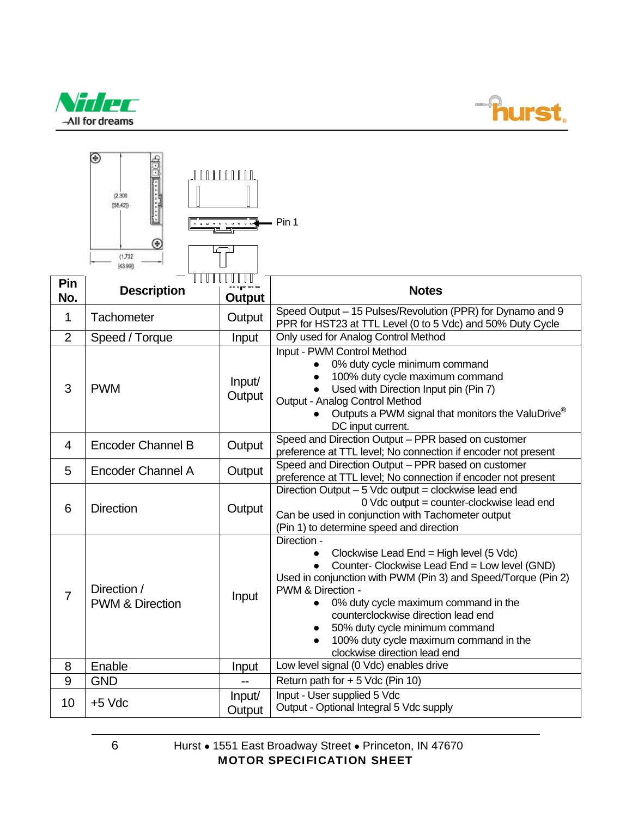



|                | ◉<br>(2.300)<br>[58.42]<br>.<br>⊛<br>(1.732)<br>43.990 |                  | Pin 1                                                                                                                                                                                                                                                                                                                                                                                    |
|----------------|--------------------------------------------------------|------------------|------------------------------------------------------------------------------------------------------------------------------------------------------------------------------------------------------------------------------------------------------------------------------------------------------------------------------------------------------------------------------------------|
| Pin<br>No.     | <b>Description</b>                                     | <b>Output</b>    | <b>Notes</b>                                                                                                                                                                                                                                                                                                                                                                             |
| 1              | Tachometer                                             | Output           | Speed Output - 15 Pulses/Revolution (PPR) for Dynamo and 9<br>PPR for HST23 at TTL Level (0 to 5 Vdc) and 50% Duty Cycle                                                                                                                                                                                                                                                                 |
| $\overline{2}$ | Speed / Torque                                         | Input            | Only used for Analog Control Method                                                                                                                                                                                                                                                                                                                                                      |
| 3              | <b>PWM</b>                                             | Input/<br>Output | Input - PWM Control Method<br>0% duty cycle minimum command<br>100% duty cycle maximum command<br>Used with Direction Input pin (Pin 7)<br>Output - Analog Control Method<br>Outputs a PWM signal that monitors the ValuDrive <sup>®</sup><br>DC input current.                                                                                                                          |
| $\overline{4}$ | <b>Encoder Channel B</b>                               | Output           | Speed and Direction Output - PPR based on customer<br>preference at TTL level; No connection if encoder not present                                                                                                                                                                                                                                                                      |
| 5              | <b>Encoder Channel A</b>                               | Output           | Speed and Direction Output - PPR based on customer<br>preference at TTL level; No connection if encoder not present                                                                                                                                                                                                                                                                      |
| 6              | <b>Direction</b>                                       | Output           | Direction Output - 5 Vdc output = clockwise lead end<br>0 Vdc output = counter-clockwise lead end<br>Can be used in conjunction with Tachometer output<br>(Pin 1) to determine speed and direction                                                                                                                                                                                       |
| 7              | Direction /<br><b>PWM &amp; Direction</b>              | Input            | Direction -<br>Clockwise Lead End = High level (5 Vdc)<br>Counter- Clockwise Lead End = Low level (GND)<br>Used in conjunction with PWM (Pin 3) and Speed/Torque (Pin 2)<br>PWM & Direction -<br>0% duty cycle maximum command in the<br>counterclockwise direction lead end<br>50% duty cycle minimum command<br>100% duty cycle maximum command in the<br>clockwise direction lead end |
| 8              | Enable                                                 | Input            | Low level signal (0 Vdc) enables drive                                                                                                                                                                                                                                                                                                                                                   |
| 9              | <b>GND</b>                                             |                  | Return path for + 5 Vdc (Pin 10)                                                                                                                                                                                                                                                                                                                                                         |
| 10             | $+5$ Vdc                                               | Input/<br>Output | Input - User supplied 5 Vdc<br>Output - Optional Integral 5 Vdc supply                                                                                                                                                                                                                                                                                                                   |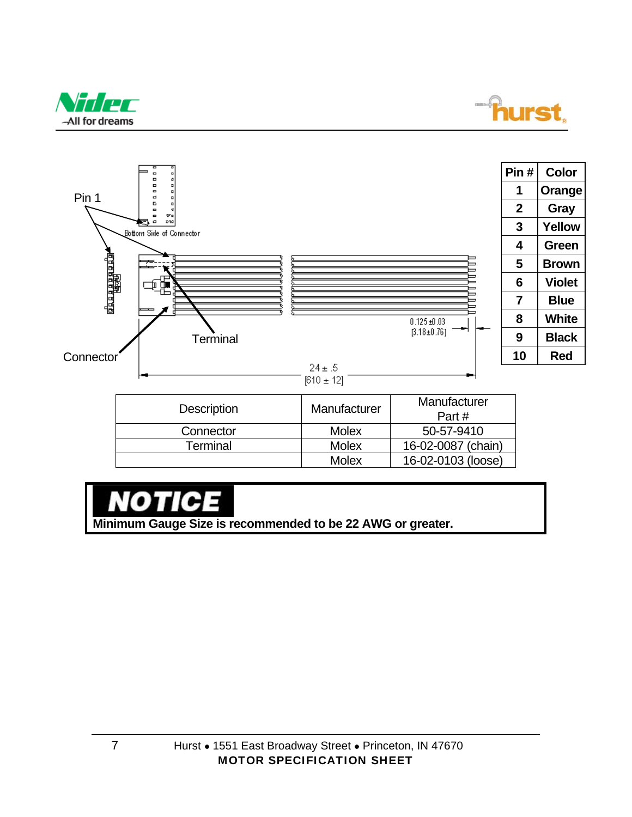





# О

**Minimum Gauge Size is recommended to be 22 AWG or greater.**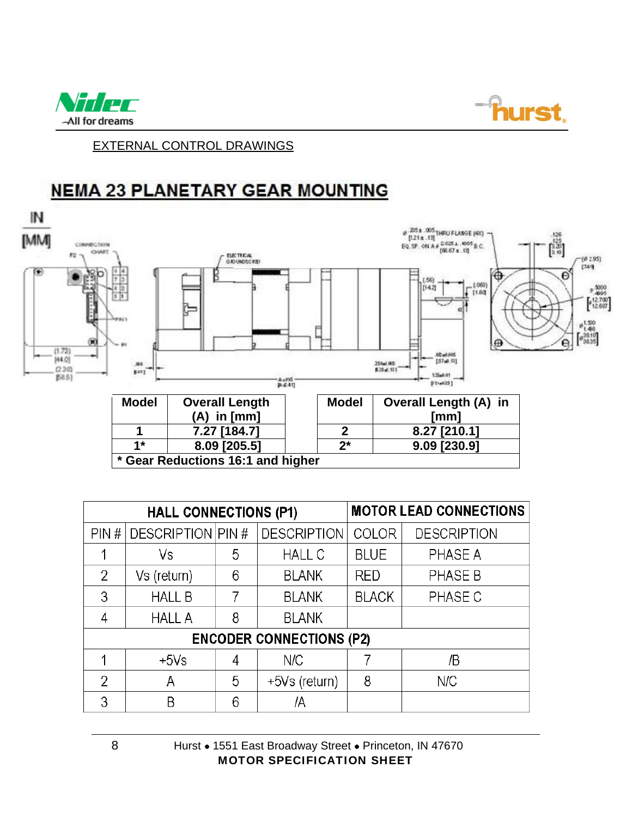



EXTERNAL CONTROL DRAWINGS

## **NEMA 23 PLANETARY GEAR MOUNTING**



| <b>HALL CONNECTIONS (P1)</b>    |                   |   | <b>MOTOR LEAD CONNECTIONS</b> |              |                    |
|---------------------------------|-------------------|---|-------------------------------|--------------|--------------------|
| PIN#                            | DESCRIPTION PIN # |   | <b>DESCRIPTION</b>            | <b>COLOR</b> | <b>DESCRIPTION</b> |
|                                 | Vs                | 5 | <b>HALL C</b>                 | <b>BLUE</b>  | PHASE A            |
| 2                               | Vs (return)       | 6 | <b>BLANK</b>                  | <b>RED</b>   | PHASE B            |
| 3                               | <b>HALL B</b>     | 7 | <b>BLANK</b>                  | <b>BLACK</b> | PHASE C            |
| 4                               | <b>HALL A</b>     | 8 | <b>BLANK</b>                  |              |                    |
| <b>ENCODER CONNECTIONS (P2)</b> |                   |   |                               |              |                    |
|                                 | $+5Vs$            | 4 | N/C                           |              | /B                 |
| 2                               | Α                 | 5 | +5Vs (return)                 | 8            | N/C                |
| 3                               | Β                 | 6 | ΙA                            |              |                    |